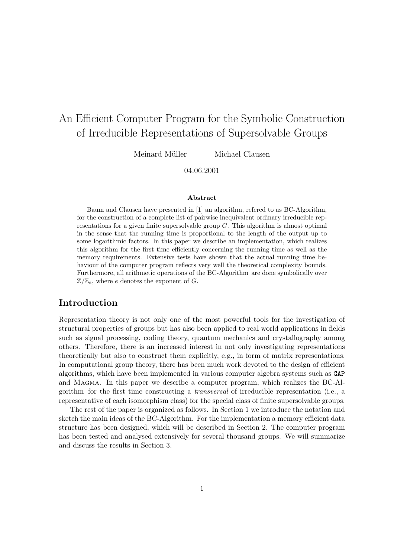# An Efficient Computer Program for the Symbolic Construction of Irreducible Representations of Supersolvable Groups

Meinard Müller Michael Clausen

04.06.2001

#### Abstract

Baum and Clausen have presented in [1] an algorithm, refered to as BC-Algorithm, for the construction of a complete list of pairwise inequivalent ordinary irreducible representations for a given finite supersolvable group  $G$ . This algorithm is almost optimal in the sense that the running time is proportional to the length of the output up to some logarithmic factors. In this paper we describe an implementation, which realizes this algorithm for the first time efficiently concerning the running time as well as the memory requirements. Extensive tests have shown that the actual running time behaviour of the computer program reflects very well the theoretical complexity bounds. Furthermore, all arithmetic operations of the BC-Algorithm are done symbolically over  $\mathbb{Z}/\mathbb{Z}_e$ , where e denotes the exponent of G.

## Introduction

Representation theory is not only one of the most powerful tools for the investigation of structural properties of groups but has also been applied to real world applications in fields such as signal processing, coding theory, quantum mechanics and crystallography among others. Therefore, there is an increased interest in not only investigating representations theoretically but also to construct them explicitly, e.g., in form of matrix representations. In computational group theory, there has been much work devoted to the design of efficient algorithms, which have been implemented in various computer algebra systems such as GAP and Magma. In this paper we describe a computer program, which realizes the BC-Algorithm for the first time constructing a transversal of irreducible representation (i.e., a representative of each isomorphism class) for the special class of finite supersolvable groups.

The rest of the paper is organized as follows. In Section 1 we introduce the notation and sketch the main ideas of the BC-Algorithm. For the implementation a memory efficient data structure has been designed, which will be described in Section 2. The computer program has been tested and analysed extensively for several thousand groups. We will summarize and discuss the results in Section 3.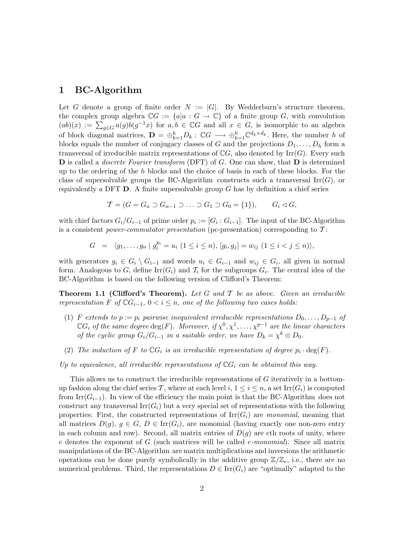## 1 BC-Algorithm

Let G denote a group of finite order  $N := |G|$ . By Wedderburn's structure theorem, the complex group algebra  $\mathbb{C}G := \{a|a : G \to \mathbb{C}\}\$  of a finite group G, with convolution  $(ab)(x) := \sum_{g \in G} a(g)b(g^{-1}x)$  for  $a, b \in \mathbb{C}G$  and all  $x \in G$ , is isomorphic to an algebra of block diagonal matrices,  $\mathbf{D} = \bigoplus_{k=1}^h D_k$ :  $\mathbb{C}G \longrightarrow \bigoplus_{k=1}^h \mathbb{C}^{d_k \times d_k}$ . Here, the number h of blocks equals the number of conjugacy classes of G and the projections  $D_1, \ldots, D_h$  form a transversal of irreducible matrix representations of  $\mathbb{C}G$ , also denoted by Irr $(G)$ . Every such  **is called a** *discrete Fourier transform* **(DFT) of**  $G$ **. One can show, that**  $**D**$  **is determined** up to the ordering of the h blocks and the choice of basis in each of these blocks. For the class of supersolvable groups the BC-Algorithm constructs such a transversal  $\text{Irr}(G)$ , or equivalently a DFT  $D$ . A finite supersolvable group G has by definition a chief series

$$
\mathcal{T} = (G = G_n \supset G_{n-1} \supset \ldots \supset G_1 \supset G_0 = \{1\}), \qquad G_i \lhd G,
$$

with chief factors  $G_i/G_{i-1}$  of prime order  $p_i := [G_i : G_{i-1}]$ . The input of the BC-Algorithm is a consistent *power-commutator presentation* (pc-presentation) corresponding to  $T$ :

$$
G = \langle g_1, \dots, g_n | g_i^{p_i} = u_i \ (1 \leq i \leq n), [g_i, g_j] = w_{ij} \ (1 \leq i < j \leq n) \rangle,
$$

with generators  $g_i \in G_i \setminus G_{i-1}$  and words  $u_i \in G_{i-1}$  and  $w_{ij} \in G_i$ , all given in normal form. Analogous to G, define  $\text{Irr}(G_i)$  and  $\mathcal{T}_i$  for the subgroups  $G_i$ . The central idea of the BC-Algorithm is based on the following version of Clifford's Theorem:

**Theorem 1.1 (Clifford's Theorem).** Let G and T be as above. Given an irreducible representation F of  $\mathbb{C}G_{i-1}$ ,  $0 < i \leq n$ , one of the following two cases holds:

- (1) F extends to  $p := p_i$  pairwise inequivalent irreducible representations  $D_0, \ldots, D_{p-1}$  of  $\mathbb{C}G_i$  of the same degree  $\text{deg}(F)$ . Moreover, if  $\chi^0, \chi^1, \ldots, \chi^{p-1}$  are the linear characters of the cyclic group  $G_i/G_{i-1}$  in a suitable order, we have  $D_k = \chi^k \otimes D_0$ .
- (2) The induction of F to  $\mathbb{C}G_i$  is an irreducible representation of degree  $p_i \cdot \deg(F)$ .

Up to equivalence, all irreducible representations of  $\mathbb{C}G_i$  can be obtained this way.

This allows us to construct the irreducible representations of G iteratively in a bottomup fashion along the chief series T, where at each level  $i, 1 \leq i \leq n$ , a set Irr( $G_i$ ) is computed from Irr( $G_{i-1}$ ). In view of the efficiency the main point is that the BC-Algorithm does not construct any transversal  $\text{Irr}(G_i)$  but a very special set of representations with the following properties: First, the constructed representations of  $\text{Irr}(G_i)$  are monomial, meaning that all matrices  $D(q)$ ,  $q \in G$ ,  $D \in \text{Irr}(G_i)$ , are monomial (having exactly one non-zero entry in each column and row). Second, all matrix entries of  $D(q)$  are eth roots of unity, where e denotes the exponent of G (such matrices will be called *e-monomial*). Since all matrix manipulations of the BC-Algorithm are matrix multiplications and inversions the arithmetic operations can be done purely symbolically in the additive group  $\mathbb{Z}/\mathbb{Z}_e$ , i.e., there are no numerical problems. Third, the representations  $D \in \text{Irr}(G_i)$  are "optimally" adapted to the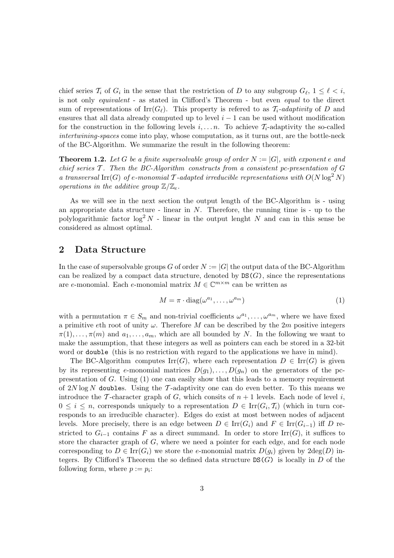chief series  $\mathcal{T}_i$  of  $G_i$  in the sense that the restriction of D to any subgroup  $G_{\ell}$ ,  $1 \leq \ell \leq i$ , is not only equivalent - as stated in Clifford's Theorem - but even equal to the direct sum of representations of Irr $(G_\ell)$ . This property is referred to as  $\mathcal{T}_i$ -adaptivity of D and ensures that all data already computed up to level  $i - 1$  can be used without modification for the construction in the following levels  $i, \ldots, n$ . To achieve  $\mathcal{T}_i$ -adaptivity the so-called intertwining-spaces come into play, whose computation, as it turns out, are the bottle-neck of the BC-Algorithm. We summarize the result in the following theorem:

**Theorem 1.2.** Let G be a finite supersolvable group of order  $N := |G|$ , with exponent e and chief series  $\mathcal T$ . Then the BC-Algorithm constructs from a consistent pc-presentation of  $G$ a transversal Irr(G) of e-monomial T-adapted irreducible representations with  $O(N \log^2 N)$ operations in the additive group  $\mathbb{Z}/\mathbb{Z}_e$ .

As we will see in the next section the output length of the BC-Algorithm is - using an appropriate data structure - linear in  $N$ . Therefore, the running time is - up to the polylogarithmic factor  $\log^2 N$  - linear in the output lenght N and can in this sense be considered as almost optimal.

#### 2 Data Structure

In the case of supersolvable groups G of order  $N := |G|$  the output data of the BC-Algorithm can be realized by a compact data structure, denoted by  $DS(G)$ , since the representations are e-monomial. Each e-monomial matrix  $M \in \mathbb{C}^{m \times m}$  can be written as

$$
M = \pi \cdot \text{diag}(\omega^{a_1}, \dots, \omega^{a_m})
$$
 (1)

with a permutation  $\pi \in S_m$  and non-trivial coefficients  $\omega^{a_1}, \ldots, \omega^{a_m}$ , where we have fixed a primitive eth root of unity  $\omega$ . Therefore M can be described by the 2m positive integers  $\pi(1), \ldots, \pi(m)$  and  $a_1, \ldots, a_m$ , which are all bounded by N. In the following we want to make the assumption, that these integers as well as pointers can each be stored in a 32-bit word or double (this is no restriction with regard to the applications we have in mind).

The BC-Algorithm computes  $\text{Irr}(G)$ , where each representation  $D \in \text{Irr}(G)$  is given by its representing e-monomial matrices  $D(g_1), \ldots, D(g_n)$  on the generators of the pcpresentation of  $G$ . Using  $(1)$  one can easily show that this leads to a memory requirement of  $2N \log N$  doubles. Using the T-adaptivity one can do even better. To this means we introduce the T-character graph of G, which consits of  $n + 1$  levels. Each node of level i,  $0 \leq i \leq n$ , corresponds uniquely to a representation  $D \in \text{Irr}(G_i, \mathcal{T}_i)$  (which in turn corresponds to an irreducible character). Edges do exist at most between nodes of adjacent levels. More precisely, there is an edge between  $D \in \text{Irr}(G_i)$  and  $F \in \text{Irr}(G_{i-1})$  iff D restricted to  $G_{i-1}$  contains F as a direct summand. In order to store Irr(G), it suffices to store the character graph of G, where we need a pointer for each edge, and for each node corresponding to  $D \in \text{Irr}(G_i)$  we store the e-monomial matrix  $D(g_i)$  given by  $2\text{deg}(D)$  integers. By Clifford's Theorem the so defined data structure  $DS(G)$  is locally in D of the following form, where  $p := p_i$ :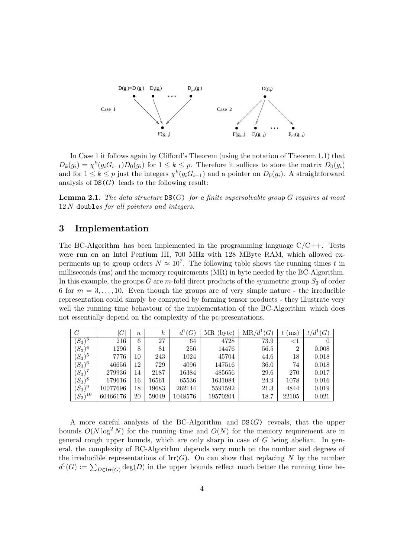

In Case 1 it follows again by Clifford's Theorem (using the notation of Theorem 1.1) that  $D_k(g_i) = \chi^k(g_i G_{i-1}) D_0(g_i)$  for  $1 \leq k \leq p$ . Therefore it suffices to store the matrix  $D_0(g_i)$ and for  $1 \leq k \leq p$  just the integers  $\chi^k(g_i G_{i-1})$  and a pointer on  $D_0(g_i)$ . A straightforward analysis of  $DS(G)$  leads to the following result:

**Lemma 2.1.** The data structure  $DS(G)$  for a finite supersolvable group G requires at most  $12 N$  doubles for all pointers and integers.

#### 3 Implementation

The BC-Algorithm has been implemented in the programming language  $C/C++$ . Tests were run on an Intel Pentium III, 700 MHz with 128 MByte RAM, which allowed experiments up to group orders  $N \approx 10^7$ . The following table shows the running times t in milliseconds (ms) and the memory requirements (MR) in byte needed by the BC-Algorithm. In this example, the groups G are m-fold direct products of the symmetric group  $S_3$  of order 6 for  $m = 3, \ldots, 10$ . Even though the groups are of very simple nature - the irreducible representation could simply be computed by forming tensor products - they illustrate very well the running time behaviour of the implementation of the BC-Algorithm which does not essentially depend on the complexity of the pc-presentations.

| $\,G$          | G        | $\boldsymbol{n}$ | h     | (G      | МR<br>byte) | $'d^1(G)$<br>MR/ | ms             | $'d^1(G)$<br>t, |
|----------------|----------|------------------|-------|---------|-------------|------------------|----------------|-----------------|
| \З<br>$(S_3)$  | 216      | 6                | 27    | 64      | 4728        | 73.9             | ${<}1$         |                 |
| $(S_3)$<br>، 4 | 1296     | 8                | 81    | 256     | 14476       | 56.5             | $\overline{2}$ | 0.008           |
| \5<br>$(S_3)$  | 7776     | 10               | 243   | 1024    | 45704       | 44.6             | 18             | 0.018           |
| $(S_3)^6$      | 46656    | 12               | 729   | 4096    | 147516      | 36.0             | 74             | 0.018           |
| $(S_3)^7$      | 279936   | 14               | 2187  | 16384   | 485656      | 29.6             | 270            | 0.017           |
| $(S_3)^8$      | 679616   | 16               | 16561 | 65536   | 1631084     | 24.9             | 1078           | 0.016           |
| ۱9<br>$(S_3)$  | 10077696 | 18               | 19683 | 262144  | 5591592     | 21.3             | 4844           | 0.019           |
| 10<br>$(S_3)$  | 60466176 | 20               | 59049 | 1048576 | 19570204    | 18.7             | 22105          | 0.021           |

A more careful analysis of the BC-Algorithm and  $DS(G)$  reveals, that the upper bounds  $O(N \log^2 N)$  for the running time and  $O(N)$  for the memory requirement are in general rough upper bounds, which are only sharp in case of  $G$  being abelian. In general, the complexity of BC-Algorithm depends very much on the number and degrees of the irreducible representations of  $\text{Irr}(G)$ . On can show that replacing N by the number  $d^1(G) := \sum_{D \in \text{Irr}(G)} \text{deg}(D)$  in the upper bounds reflect much better the running time be